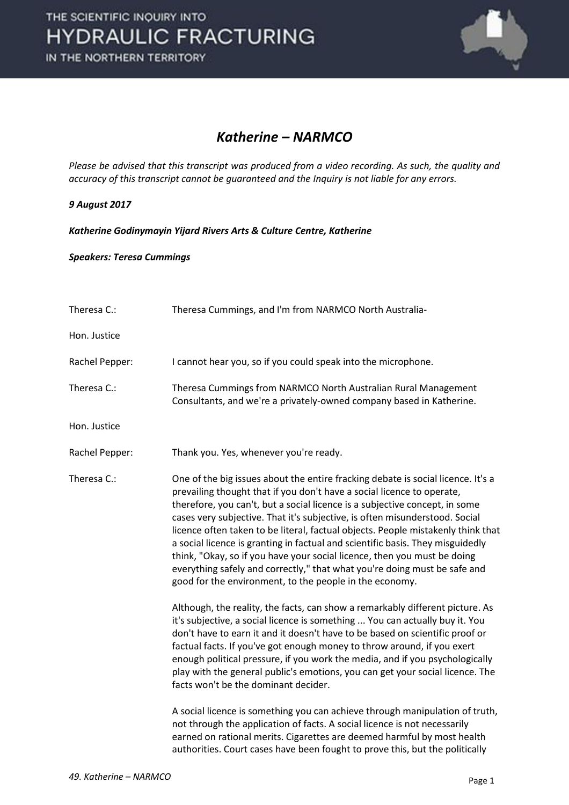

## *Katherine – NARMCO*

*Please be advised that this transcript was produced from a video recording. As such, the quality and accuracy of this transcript cannot be guaranteed and the Inquiry is not liable for any errors.* 

## *9 August 2017*

*Katherine Godinymayin Yijard Rivers Arts & Culture Centre, Katherine* 

## *Speakers: Teresa Cummings*

| Theresa C.:    | Theresa Cummings, and I'm from NARMCO North Australia-                                                                                                                                                                                                                                                                                                                                                                                                                                                                                                                                                                                                                                                             |
|----------------|--------------------------------------------------------------------------------------------------------------------------------------------------------------------------------------------------------------------------------------------------------------------------------------------------------------------------------------------------------------------------------------------------------------------------------------------------------------------------------------------------------------------------------------------------------------------------------------------------------------------------------------------------------------------------------------------------------------------|
| Hon. Justice   |                                                                                                                                                                                                                                                                                                                                                                                                                                                                                                                                                                                                                                                                                                                    |
| Rachel Pepper: | I cannot hear you, so if you could speak into the microphone.                                                                                                                                                                                                                                                                                                                                                                                                                                                                                                                                                                                                                                                      |
| Theresa C.:    | Theresa Cummings from NARMCO North Australian Rural Management<br>Consultants, and we're a privately-owned company based in Katherine.                                                                                                                                                                                                                                                                                                                                                                                                                                                                                                                                                                             |
| Hon. Justice   |                                                                                                                                                                                                                                                                                                                                                                                                                                                                                                                                                                                                                                                                                                                    |
| Rachel Pepper: | Thank you. Yes, whenever you're ready.                                                                                                                                                                                                                                                                                                                                                                                                                                                                                                                                                                                                                                                                             |
| Theresa C.:    | One of the big issues about the entire fracking debate is social licence. It's a<br>prevailing thought that if you don't have a social licence to operate,<br>therefore, you can't, but a social licence is a subjective concept, in some<br>cases very subjective. That it's subjective, is often misunderstood. Social<br>licence often taken to be literal, factual objects. People mistakenly think that<br>a social licence is granting in factual and scientific basis. They misguidedly<br>think, "Okay, so if you have your social licence, then you must be doing<br>everything safely and correctly," that what you're doing must be safe and<br>good for the environment, to the people in the economy. |
|                | Although, the reality, the facts, can show a remarkably different picture. As<br>it's subjective, a social licence is something  You can actually buy it. You<br>don't have to earn it and it doesn't have to be based on scientific proof or<br>factual facts. If you've got enough money to throw around, if you exert<br>enough political pressure, if you work the media, and if you psychologically<br>play with the general public's emotions, you can get your social licence. The<br>facts won't be the dominant decider.                                                                                                                                                                                  |
|                | A social licence is something you can achieve through manipulation of truth,<br>not through the application of facts. A social licence is not necessarily<br>earned on rational merits. Cigarettes are deemed harmful by most health<br>authorities. Court cases have been fought to prove this, but the politically                                                                                                                                                                                                                                                                                                                                                                                               |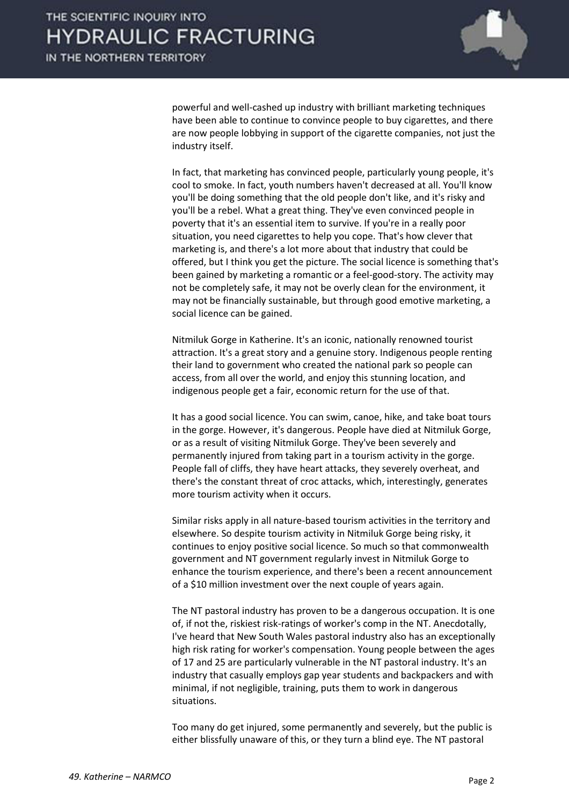

powerful and well-cashed up industry with brilliant marketing techniques have been able to continue to convince people to buy cigarettes, and there are now people lobbying in support of the cigarette companies, not just the industry itself.

 In fact, that marketing has convinced people, particularly young people, it's cool to smoke. In fact, youth numbers haven't decreased at all. You'll know you'll be doing something that the old people don't like, and it's risky and you'll be a rebel. What a great thing. They've even convinced people in poverty that it's an essential item to survive. If you're in a really poor situation, you need cigarettes to help you cope. That's how clever that marketing is, and there's a lot more about that industry that could be offered, but I think you get the picture. The social licence is something that's been gained by marketing a romantic or a feel-good-story. The activity may not be completely safe, it may not be overly clean for the environment, it may not be financially sustainable, but through good emotive marketing, a social licence can be gained.

 Nitmiluk Gorge in Katherine. It's an iconic, nationally renowned tourist attraction. It's a great story and a genuine story. Indigenous people renting their land to government who created the national park so people can access, from all over the world, and enjoy this stunning location, and indigenous people get a fair, economic return for the use of that.

 It has a good social licence. You can swim, canoe, hike, and take boat tours in the gorge. However, it's dangerous. People have died at Nitmiluk Gorge, or as a result of visiting Nitmiluk Gorge. They've been severely and permanently injured from taking part in a tourism activity in the gorge. People fall of cliffs, they have heart attacks, they severely overheat, and there's the constant threat of croc attacks, which, interestingly, generates more tourism activity when it occurs.

 Similar risks apply in all nature-based tourism activities in the territory and elsewhere. So despite tourism activity in Nitmiluk Gorge being risky, it continues to enjoy positive social licence. So much so that commonwealth government and NT government regularly invest in Nitmiluk Gorge to enhance the tourism experience, and there's been a recent announcement of a \$10 million investment over the next couple of years again.

 The NT pastoral industry has proven to be a dangerous occupation. It is one of, if not the, riskiest risk-ratings of worker's comp in the NT. Anecdotally, I've heard that New South Wales pastoral industry also has an exceptionally high risk rating for worker's compensation. Young people between the ages of 17 and 25 are particularly vulnerable in the NT pastoral industry. It's an industry that casually employs gap year students and backpackers and with minimal, if not negligible, training, puts them to work in dangerous situations.

 Too many do get injured, some permanently and severely, but the public is either blissfully unaware of this, or they turn a blind eye. The NT pastoral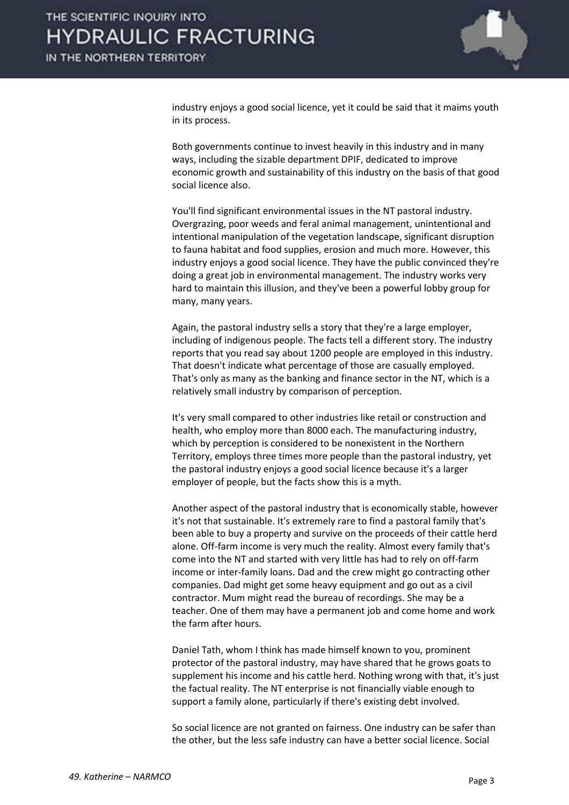

industry enjoys a good social licence, yet it could be said that it maims youth in its process.

 Both governments continue to invest heavily in this industry and in many ways, including the sizable department DPIF, dedicated to improve economic growth and sustainability of this industry on the basis of that good social licence also.

 You'll find significant environmental issues in the NT pastoral industry. Overgrazing, poor weeds and feral animal management, unintentional and intentional manipulation of the vegetation landscape, significant disruption to fauna habitat and food supplies, erosion and much more. However, this industry enjoys a good social licence. They have the public convinced they're doing a great job in environmental management. The industry works very hard to maintain this illusion, and they've been a powerful lobby group for many, many years.

 Again, the pastoral industry sells a story that they're a large employer, including of indigenous people. The facts tell a different story. The industry reports that you read say about 1200 people are employed in this industry. That doesn't indicate what percentage of those are casually employed. That's only as many as the banking and finance sector in the NT, which is a relatively small industry by comparison of perception.

 It's very small compared to other industries like retail or construction and health, who employ more than 8000 each. The manufacturing industry, which by perception is considered to be nonexistent in the Northern Territory, employs three times more people than the pastoral industry, yet the pastoral industry enjoys a good social licence because it's a larger employer of people, but the facts show this is a myth.

 Another aspect of the pastoral industry that is economically stable, however it's not that sustainable. It's extremely rare to find a pastoral family that's been able to buy a property and survive on the proceeds of their cattle herd alone. Off-farm income is very much the reality. Almost every family that's come into the NT and started with very little has had to rely on off-farm income or inter-family loans. Dad and the crew might go contracting other companies. Dad might get some heavy equipment and go out as a civil contractor. Mum might read the bureau of recordings. She may be a teacher. One of them may have a permanent job and come home and work the farm after hours.

 Daniel Tath, whom I think has made himself known to you, prominent protector of the pastoral industry, may have shared that he grows goats to supplement his income and his cattle herd. Nothing wrong with that, it's just the factual reality. The NT enterprise is not financially viable enough to support a family alone, particularly if there's existing debt involved.

 So social licence are not granted on fairness. One industry can be safer than the other, but the less safe industry can have a better social licence. Social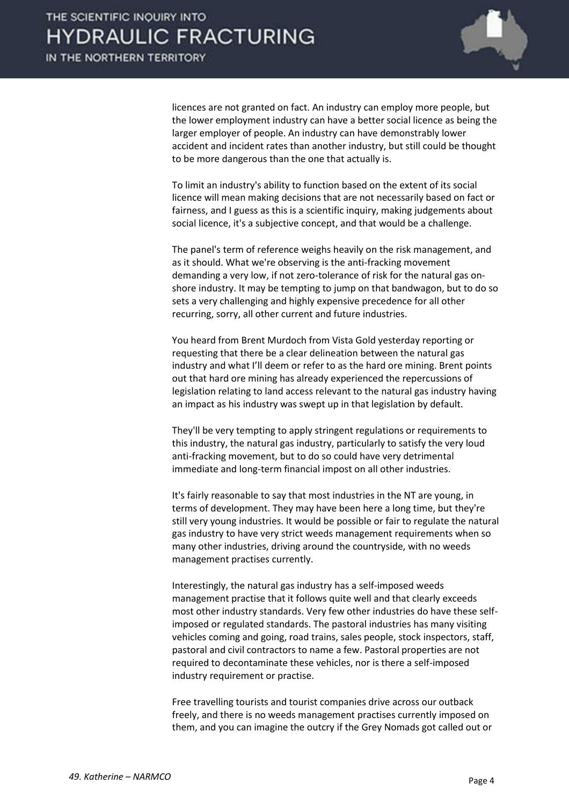

licences are not granted on fact. An industry can employ more people, but the lower employment industry can have a better social licence as being the larger employer of people. An industry can have demonstrably lower accident and incident rates than another industry, but still could be thought to be more dangerous than the one that actually is.

 To limit an industry's ability to function based on the extent of its social licence will mean making decisions that are not necessarily based on fact or fairness, and I guess as this is a scientific inquiry, making judgements about social licence, it's a subjective concept, and that would be a challenge.

 The panel's term of reference weighs heavily on the risk management, and as it should. What we're observing is the anti-fracking movement demanding a very low, if not zero-tolerance of risk for the natural gas onshore industry. It may be tempting to jump on that bandwagon, but to do so sets a very challenging and highly expensive precedence for all other recurring, sorry, all other current and future industries.

 You heard from Brent Murdoch from Vista Gold yesterday reporting or requesting that there be a clear delineation between the natural gas industry and what I'll deem or refer to as the hard ore mining. Brent points out that hard ore mining has already experienced the repercussions of legislation relating to land access relevant to the natural gas industry having an impact as his industry was swept up in that legislation by default.

 They'll be very tempting to apply stringent regulations or requirements to this industry, the natural gas industry, particularly to satisfy the very loud anti-fracking movement, but to do so could have very detrimental immediate and long-term financial impost on all other industries.

 It's fairly reasonable to say that most industries in the NT are young, in terms of development. They may have been here a long time, but they're still very young industries. It would be possible or fair to regulate the natural gas industry to have very strict weeds management requirements when so many other industries, driving around the countryside, with no weeds management practises currently.

 Interestingly, the natural gas industry has a self-imposed weeds management practise that it follows quite well and that clearly exceeds most other industry standards. Very few other industries do have these selfimposed or regulated standards. The pastoral industries has many visiting vehicles coming and going, road trains, sales people, stock inspectors, staff, pastoral and civil contractors to name a few. Pastoral properties are not required to decontaminate these vehicles, nor is there a self-imposed industry requirement or practise.

 Free travelling tourists and tourist companies drive across our outback freely, and there is no weeds management practises currently imposed on them, and you can imagine the outcry if the Grey Nomads got called out or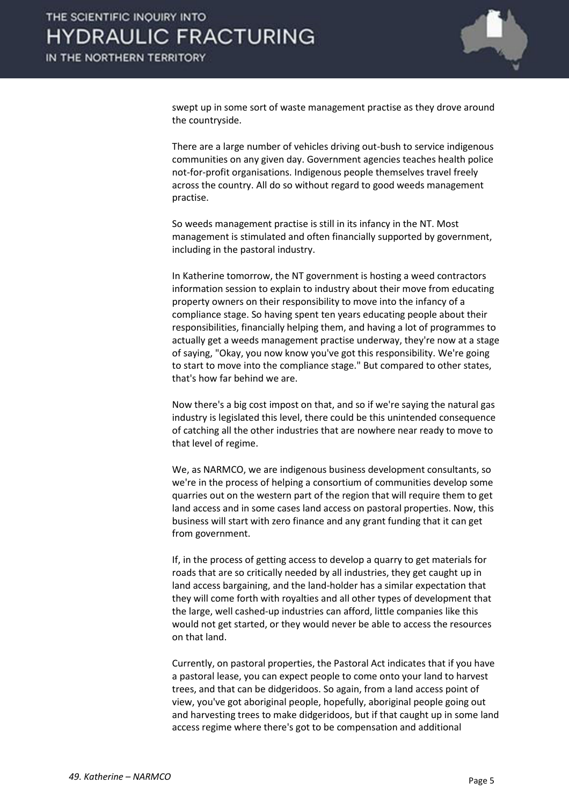

swept up in some sort of waste management practise as they drove around the countryside.

 There are a large number of vehicles driving out-bush to service indigenous communities on any given day. Government agencies teaches health police not-for-profit organisations. Indigenous people themselves travel freely across the country. All do so without regard to good weeds management practise.

 So weeds management practise is still in its infancy in the NT. Most management is stimulated and often financially supported by government, including in the pastoral industry.

 In Katherine tomorrow, the NT government is hosting a weed contractors information session to explain to industry about their move from educating property owners on their responsibility to move into the infancy of a compliance stage. So having spent ten years educating people about their responsibilities, financially helping them, and having a lot of programmes to actually get a weeds management practise underway, they're now at a stage of saying, "Okay, you now know you've got this responsibility. We're going to start to move into the compliance stage." But compared to other states, that's how far behind we are.

 Now there's a big cost impost on that, and so if we're saying the natural gas industry is legislated this level, there could be this unintended consequence of catching all the other industries that are nowhere near ready to move to that level of regime.

 We, as NARMCO, we are indigenous business development consultants, so we're in the process of helping a consortium of communities develop some quarries out on the western part of the region that will require them to get land access and in some cases land access on pastoral properties. Now, this business will start with zero finance and any grant funding that it can get from government.

 If, in the process of getting access to develop a quarry to get materials for roads that are so critically needed by all industries, they get caught up in land access bargaining, and the land-holder has a similar expectation that they will come forth with royalties and all other types of development that the large, well cashed-up industries can afford, little companies like this would not get started, or they would never be able to access the resources on that land.

 Currently, on pastoral properties, the Pastoral Act indicates that if you have a pastoral lease, you can expect people to come onto your land to harvest trees, and that can be didgeridoos. So again, from a land access point of view, you've got aboriginal people, hopefully, aboriginal people going out and harvesting trees to make didgeridoos, but if that caught up in some land access regime where there's got to be compensation and additional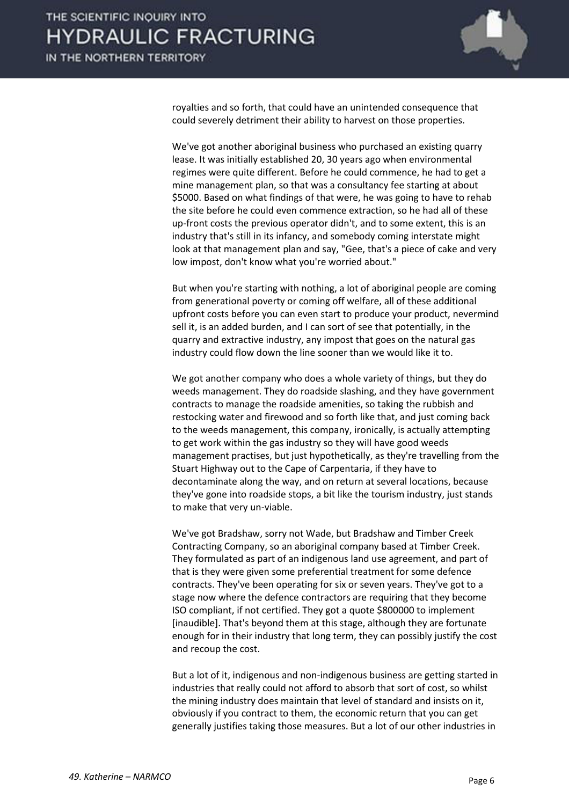

royalties and so forth, that could have an unintended consequence that could severely detriment their ability to harvest on those properties.

 We've got another aboriginal business who purchased an existing quarry lease. It was initially established 20, 30 years ago when environmental regimes were quite different. Before he could commence, he had to get a mine management plan, so that was a consultancy fee starting at about \$5000. Based on what findings of that were, he was going to have to rehab the site before he could even commence extraction, so he had all of these up-front costs the previous operator didn't, and to some extent, this is an industry that's still in its infancy, and somebody coming interstate might look at that management plan and say, "Gee, that's a piece of cake and very low impost, don't know what you're worried about."

 But when you're starting with nothing, a lot of aboriginal people are coming from generational poverty or coming off welfare, all of these additional upfront costs before you can even start to produce your product, nevermind sell it, is an added burden, and I can sort of see that potentially, in the quarry and extractive industry, any impost that goes on the natural gas industry could flow down the line sooner than we would like it to.

 We got another company who does a whole variety of things, but they do weeds management. They do roadside slashing, and they have government contracts to manage the roadside amenities, so taking the rubbish and restocking water and firewood and so forth like that, and just coming back to the weeds management, this company, ironically, is actually attempting to get work within the gas industry so they will have good weeds management practises, but just hypothetically, as they're travelling from the Stuart Highway out to the Cape of Carpentaria, if they have to decontaminate along the way, and on return at several locations, because they've gone into roadside stops, a bit like the tourism industry, just stands to make that very un-viable.

 We've got Bradshaw, sorry not Wade, but Bradshaw and Timber Creek Contracting Company, so an aboriginal company based at Timber Creek. They formulated as part of an indigenous land use agreement, and part of that is they were given some preferential treatment for some defence contracts. They've been operating for six or seven years. They've got to a stage now where the defence contractors are requiring that they become ISO compliant, if not certified. They got a quote \$800000 to implement [inaudible]. That's beyond them at this stage, although they are fortunate enough for in their industry that long term, they can possibly justify the cost and recoup the cost.

 But a lot of it, indigenous and non-indigenous business are getting started in industries that really could not afford to absorb that sort of cost, so whilst the mining industry does maintain that level of standard and insists on it, obviously if you contract to them, the economic return that you can get generally justifies taking those measures. But a lot of our other industries in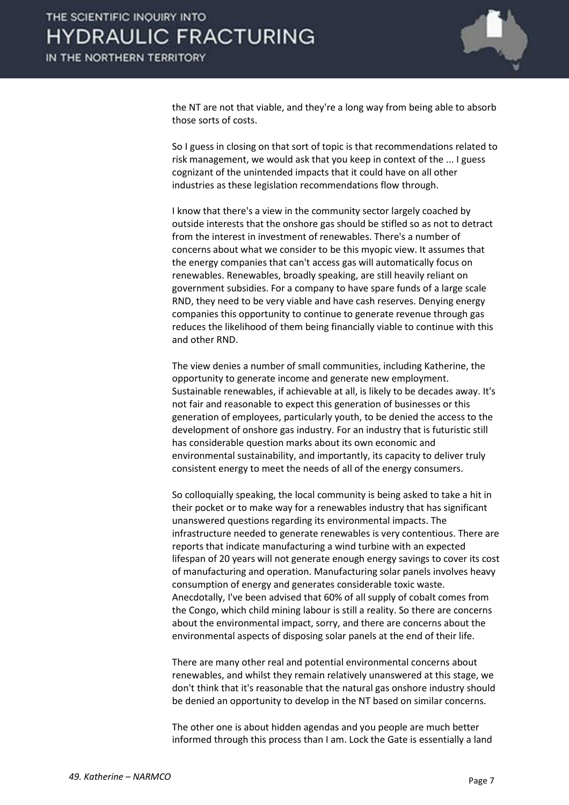

the NT are not that viable, and they're a long way from being able to absorb those sorts of costs.

 So I guess in closing on that sort of topic is that recommendations related to risk management, we would ask that you keep in context of the ... I guess cognizant of the unintended impacts that it could have on all other industries as these legislation recommendations flow through.

 I know that there's a view in the community sector largely coached by outside interests that the onshore gas should be stifled so as not to detract from the interest in investment of renewables. There's a number of concerns about what we consider to be this myopic view. It assumes that the energy companies that can't access gas will automatically focus on renewables. Renewables, broadly speaking, are still heavily reliant on government subsidies. For a company to have spare funds of a large scale RND, they need to be very viable and have cash reserves. Denying energy companies this opportunity to continue to generate revenue through gas reduces the likelihood of them being financially viable to continue with this and other RND.

 The view denies a number of small communities, including Katherine, the opportunity to generate income and generate new employment. Sustainable renewables, if achievable at all, is likely to be decades away. It's not fair and reasonable to expect this generation of businesses or this generation of employees, particularly youth, to be denied the access to the development of onshore gas industry. For an industry that is futuristic still has considerable question marks about its own economic and environmental sustainability, and importantly, its capacity to deliver truly consistent energy to meet the needs of all of the energy consumers.

 So colloquially speaking, the local community is being asked to take a hit in their pocket or to make way for a renewables industry that has significant unanswered questions regarding its environmental impacts. The infrastructure needed to generate renewables is very contentious. There are reports that indicate manufacturing a wind turbine with an expected lifespan of 20 years will not generate enough energy savings to cover its cost of manufacturing and operation. Manufacturing solar panels involves heavy consumption of energy and generates considerable toxic waste. Anecdotally, I've been advised that 60% of all supply of cobalt comes from the Congo, which child mining labour is still a reality. So there are concerns about the environmental impact, sorry, and there are concerns about the environmental aspects of disposing solar panels at the end of their life.

 There are many other real and potential environmental concerns about renewables, and whilst they remain relatively unanswered at this stage, we don't think that it's reasonable that the natural gas onshore industry should be denied an opportunity to develop in the NT based on similar concerns.

 The other one is about hidden agendas and you people are much better informed through this process than I am. Lock the Gate is essentially a land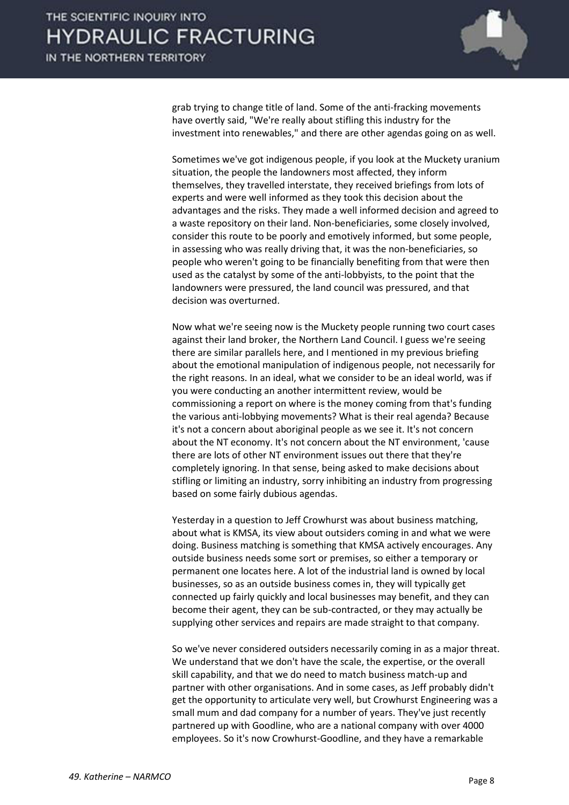

grab trying to change title of land. Some of the anti-fracking movements have overtly said, "We're really about stifling this industry for the investment into renewables," and there are other agendas going on as well.

 Sometimes we've got indigenous people, if you look at the Muckety uranium situation, the people the landowners most affected, they inform themselves, they travelled interstate, they received briefings from lots of experts and were well informed as they took this decision about the advantages and the risks. They made a well informed decision and agreed to a waste repository on their land. Non-beneficiaries, some closely involved, consider this route to be poorly and emotively informed, but some people, in assessing who was really driving that, it was the non-beneficiaries, so people who weren't going to be financially benefiting from that were then used as the catalyst by some of the anti-lobbyists, to the point that the landowners were pressured, the land council was pressured, and that decision was overturned.

 Now what we're seeing now is the Muckety people running two court cases against their land broker, the Northern Land Council. I guess we're seeing there are similar parallels here, and I mentioned in my previous briefing about the emotional manipulation of indigenous people, not necessarily for the right reasons. In an ideal, what we consider to be an ideal world, was if you were conducting an another intermittent review, would be commissioning a report on where is the money coming from that's funding the various anti-lobbying movements? What is their real agenda? Because it's not a concern about aboriginal people as we see it. It's not concern about the NT economy. It's not concern about the NT environment, 'cause there are lots of other NT environment issues out there that they're completely ignoring. In that sense, being asked to make decisions about stifling or limiting an industry, sorry inhibiting an industry from progressing based on some fairly dubious agendas.

 Yesterday in a question to Jeff Crowhurst was about business matching, about what is KMSA, its view about outsiders coming in and what we were doing. Business matching is something that KMSA actively encourages. Any outside business needs some sort or premises, so either a temporary or permanent one locates here. A lot of the industrial land is owned by local businesses, so as an outside business comes in, they will typically get connected up fairly quickly and local businesses may benefit, and they can become their agent, they can be sub-contracted, or they may actually be supplying other services and repairs are made straight to that company.

 So we've never considered outsiders necessarily coming in as a major threat. We understand that we don't have the scale, the expertise, or the overall skill capability, and that we do need to match business match-up and partner with other organisations. And in some cases, as Jeff probably didn't get the opportunity to articulate very well, but Crowhurst Engineering was a small mum and dad company for a number of years. They've just recently partnered up with Goodline, who are a national company with over 4000 employees. So it's now Crowhurst-Goodline, and they have a remarkable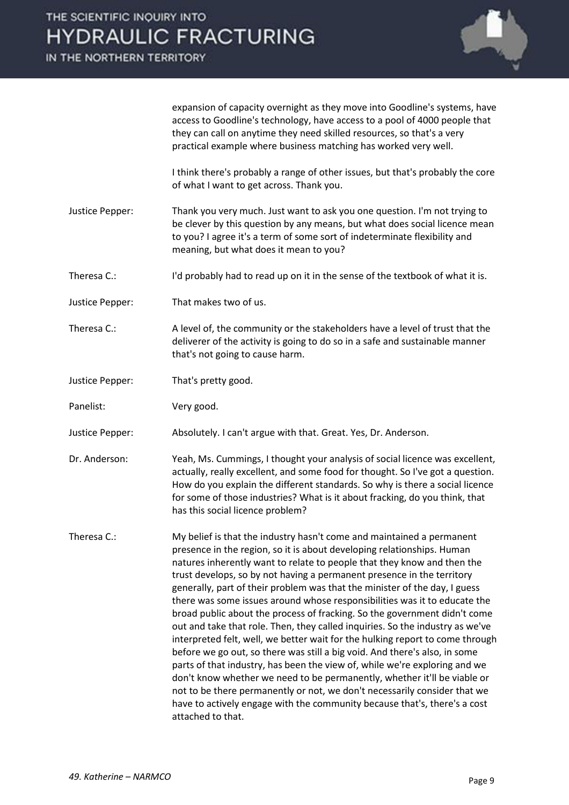IN THE NORTHERN TERRITORY



expansion of capacity overnight as they move into Goodline's systems, have access to Goodline's technology, have access to a pool of 4000 people that they can call on anytime they need skilled resources, so that's a very practical example where business matching has worked very well.

 I think there's probably a range of other issues, but that's probably the core of what I want to get across. Thank you.

- Justice Pepper: Thank you very much. Just want to ask you one question. I'm not trying to be clever by this question by any means, but what does social licence mean to you? I agree it's a term of some sort of indeterminate flexibility and meaning, but what does it mean to you?
- Theresa C.: I'd probably had to read up on it in the sense of the textbook of what it is.
- Justice Pepper: That makes two of us.
- Theresa C.: A level of, the community or the stakeholders have a level of trust that the deliverer of the activity is going to do so in a safe and sustainable manner that's not going to cause harm.
- Justice Pepper: That's pretty good.
- Panelist: Very good.

Justice Pepper: Absolutely. I can't argue with that. Great. Yes, Dr. Anderson.

- Dr. Anderson: Yeah, Ms. Cummings, I thought your analysis of social licence was excellent, actually, really excellent, and some food for thought. So I've got a question. How do you explain the different standards. So why is there a social licence for some of those industries? What is it about fracking, do you think, that has this social licence problem?
- Theresa C.: My belief is that the industry hasn't come and maintained a permanent presence in the region, so it is about developing relationships. Human natures inherently want to relate to people that they know and then the trust develops, so by not having a permanent presence in the territory generally, part of their problem was that the minister of the day, I guess there was some issues around whose responsibilities was it to educate the broad public about the process of fracking. So the government didn't come out and take that role. Then, they called inquiries. So the industry as we've interpreted felt, well, we better wait for the hulking report to come through before we go out, so there was still a big void. And there's also, in some parts of that industry, has been the view of, while we're exploring and we don't know whether we need to be permanently, whether it'll be viable or not to be there permanently or not, we don't necessarily consider that we have to actively engage with the community because that's, there's a cost attached to that.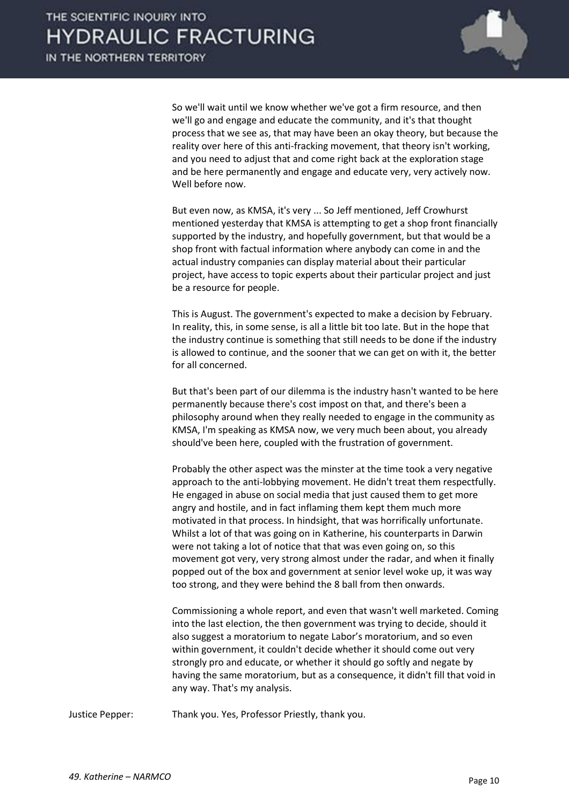

 So we'll wait until we know whether we've got a firm resource, and then we'll go and engage and educate the community, and it's that thought process that we see as, that may have been an okay theory, but because the reality over here of this anti-fracking movement, that theory isn't working, and you need to adjust that and come right back at the exploration stage and be here permanently and engage and educate very, very actively now. Well before now.

 But even now, as KMSA, it's very ... So Jeff mentioned, Jeff Crowhurst mentioned yesterday that KMSA is attempting to get a shop front financially supported by the industry, and hopefully government, but that would be a shop front with factual information where anybody can come in and the actual industry companies can display material about their particular project, have access to topic experts about their particular project and just be a resource for people.

 This is August. The government's expected to make a decision by February. In reality, this, in some sense, is all a little bit too late. But in the hope that the industry continue is something that still needs to be done if the industry is allowed to continue, and the sooner that we can get on with it, the better for all concerned.

 But that's been part of our dilemma is the industry hasn't wanted to be here permanently because there's cost impost on that, and there's been a philosophy around when they really needed to engage in the community as KMSA, I'm speaking as KMSA now, we very much been about, you already should've been here, coupled with the frustration of government.

 Probably the other aspect was the minster at the time took a very negative approach to the anti-lobbying movement. He didn't treat them respectfully. He engaged in abuse on social media that just caused them to get more angry and hostile, and in fact inflaming them kept them much more motivated in that process. In hindsight, that was horrifically unfortunate. Whilst a lot of that was going on in Katherine, his counterparts in Darwin were not taking a lot of notice that that was even going on, so this movement got very, very strong almost under the radar, and when it finally popped out of the box and government at senior level woke up, it was way too strong, and they were behind the 8 ball from then onwards.

 Commissioning a whole report, and even that wasn't well marketed. Coming into the last election, the then government was trying to decide, should it also suggest a moratorium to negate Labor's moratorium, and so even within government, it couldn't decide whether it should come out very strongly pro and educate, or whether it should go softly and negate by having the same moratorium, but as a consequence, it didn't fill that void in any way. That's my analysis.

Justice Pepper: Thank you. Yes, Professor Priestly, thank you.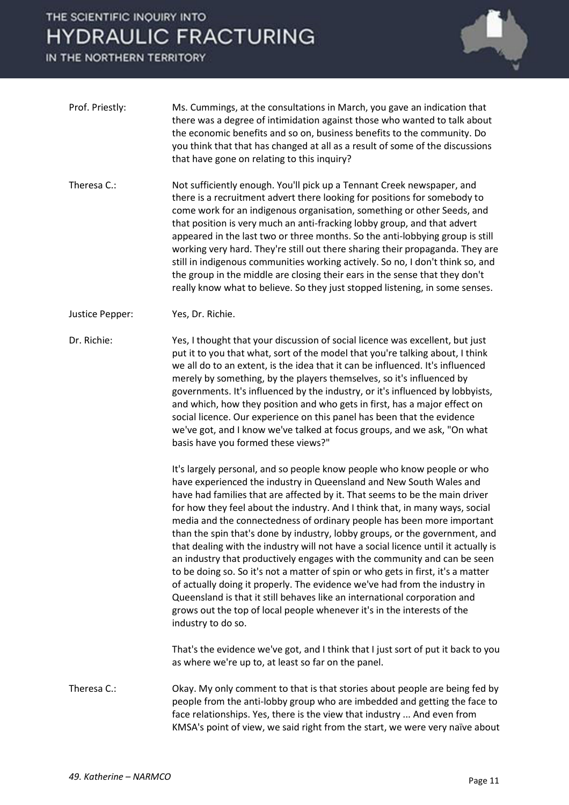## THE SCIENTIFIC INQUIRY INTO **HYDRAULIC FRACTURING**

IN THE NORTHERN TERRITORY



- Prof. Priestly: Ms. Cummings, at the consultations in March, you gave an indication that there was a degree of intimidation against those who wanted to talk about the economic benefits and so on, business benefits to the community. Do you think that that has changed at all as a result of some of the discussions that have gone on relating to this inquiry?
- Theresa C.: Not sufficiently enough. You'll pick up a Tennant Creek newspaper, and there is a recruitment advert there looking for positions for somebody to come work for an indigenous organisation, something or other Seeds, and that position is very much an anti-fracking lobby group, and that advert appeared in the last two or three months. So the anti-lobbying group is still working very hard. They're still out there sharing their propaganda. They are still in indigenous communities working actively. So no, I don't think so, and the group in the middle are closing their ears in the sense that they don't really know what to believe. So they just stopped listening, in some senses.
- Justice Pepper: Yes, Dr. Richie.

Dr. Richie: Yes, I thought that your discussion of social licence was excellent, but just put it to you that what, sort of the model that you're talking about, I think we all do to an extent, is the idea that it can be influenced. It's influenced merely by something, by the players themselves, so it's influenced by governments. It's influenced by the industry, or it's influenced by lobbyists, and which, how they position and who gets in first, has a major effect on social licence. Our experience on this panel has been that the evidence we've got, and I know we've talked at focus groups, and we ask, "On what basis have you formed these views?"

> It's largely personal, and so people know people who know people or who have experienced the industry in Queensland and New South Wales and have had families that are affected by it. That seems to be the main driver for how they feel about the industry. And I think that, in many ways, social media and the connectedness of ordinary people has been more important than the spin that's done by industry, lobby groups, or the government, and that dealing with the industry will not have a social licence until it actually is an industry that productively engages with the community and can be seen to be doing so. So it's not a matter of spin or who gets in first, it's a matter of actually doing it properly. The evidence we've had from the industry in Queensland is that it still behaves like an international corporation and grows out the top of local people whenever it's in the interests of the industry to do so.

 That's the evidence we've got, and I think that I just sort of put it back to you as where we're up to, at least so far on the panel.

Theresa C.: Okay. My only comment to that is that stories about people are being fed by people from the anti-lobby group who are imbedded and getting the face to face relationships. Yes, there is the view that industry ... And even from KMSA's point of view, we said right from the start, we were very naïve about